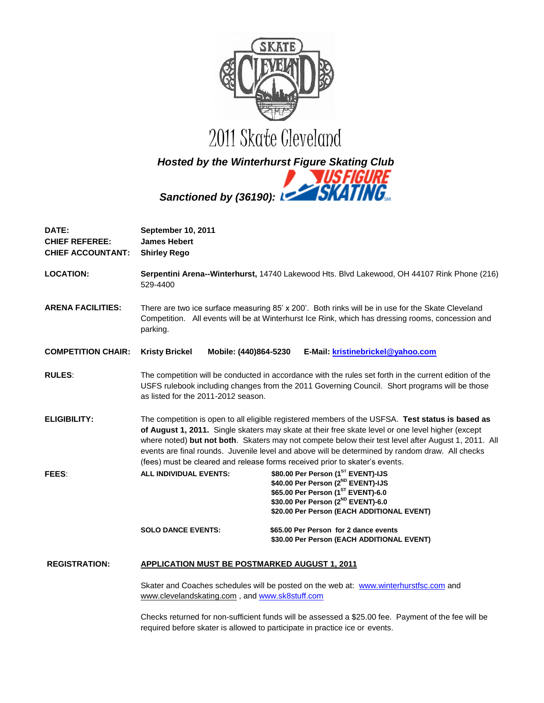

# *Hosted by the Winterhurst Figure Skating Club Sanctioned by (36190):*

| DATE:<br><b>CHIEF REFEREE:</b><br><b>CHIEF ACCOUNTANT:</b> | September 10, 2011<br><b>James Hebert</b><br><b>Shirley Rego</b>                                                                                                                                                                                                                                                                                                                                                                                                                               |                                                      |                                                                                                                                                                                                         |
|------------------------------------------------------------|------------------------------------------------------------------------------------------------------------------------------------------------------------------------------------------------------------------------------------------------------------------------------------------------------------------------------------------------------------------------------------------------------------------------------------------------------------------------------------------------|------------------------------------------------------|---------------------------------------------------------------------------------------------------------------------------------------------------------------------------------------------------------|
| <b>LOCATION:</b>                                           | Serpentini Arena--Winterhurst, 14740 Lakewood Hts. Blvd Lakewood, OH 44107 Rink Phone (216)<br>529-4400                                                                                                                                                                                                                                                                                                                                                                                        |                                                      |                                                                                                                                                                                                         |
| <b>ARENA FACILITIES:</b>                                   | There are two ice surface measuring 85' x 200'. Both rinks will be in use for the Skate Cleveland<br>Competition. All events will be at Winterhurst Ice Rink, which has dressing rooms, concession and<br>parking.                                                                                                                                                                                                                                                                             |                                                      |                                                                                                                                                                                                         |
| <b>COMPETITION CHAIR:</b>                                  | <b>Kristy Brickel</b>                                                                                                                                                                                                                                                                                                                                                                                                                                                                          | Mobile: (440)864-5230                                | E-Mail: kristinebrickel@yahoo.com                                                                                                                                                                       |
| <b>RULES:</b>                                              | as listed for the 2011-2012 season.                                                                                                                                                                                                                                                                                                                                                                                                                                                            |                                                      | The competition will be conducted in accordance with the rules set forth in the current edition of the<br>USFS rulebook including changes from the 2011 Governing Council. Short programs will be those |
| <b>ELIGIBILITY:</b>                                        | The competition is open to all eligible registered members of the USFSA. Test status is based as<br>of August 1, 2011. Single skaters may skate at their free skate level or one level higher (except<br>where noted) but not both. Skaters may not compete below their test level after August 1, 2011. All<br>events are final rounds. Juvenile level and above will be determined by random draw. All checks<br>(fees) must be cleared and release forms received prior to skater's events. |                                                      |                                                                                                                                                                                                         |
| FEES:                                                      | <b>ALL INDIVIDUAL EVENTS:</b>                                                                                                                                                                                                                                                                                                                                                                                                                                                                  |                                                      | \$80.00 Per Person (1ST EVENT)-IJS<br>\$40.00 Per Person (2ND EVENT)-IJS<br>\$65.00 Per Person (1ST EVENT)-6.0<br>\$30.00 Per Person (2ND EVENT)-6.0<br>\$20.00 Per Person (EACH ADDITIONAL EVENT)      |
|                                                            | <b>SOLO DANCE EVENTS:</b>                                                                                                                                                                                                                                                                                                                                                                                                                                                                      |                                                      | \$65.00 Per Person for 2 dance events<br>\$30.00 Per Person (EACH ADDITIONAL EVENT)                                                                                                                     |
| <b>REGISTRATION:</b>                                       |                                                                                                                                                                                                                                                                                                                                                                                                                                                                                                | <b>APPLICATION MUST BE POSTMARKED AUGUST 1, 2011</b> |                                                                                                                                                                                                         |
|                                                            |                                                                                                                                                                                                                                                                                                                                                                                                                                                                                                | www.clevelandskating.com, and www.sk8stuff.com       | Skater and Coaches schedules will be posted on the web at: www.winterhurstfsc.com and                                                                                                                   |
|                                                            |                                                                                                                                                                                                                                                                                                                                                                                                                                                                                                |                                                      | Charles returned for non outficient fundo will be accessed a $PSE(0.600, R_{\text{N}})$ Devestor of the foo will be                                                                                     |

Checks returned for non-sufficient funds will be assessed a \$25.00 fee. Payment of the fee will be required before skater is allowed to participate in practice ice or events.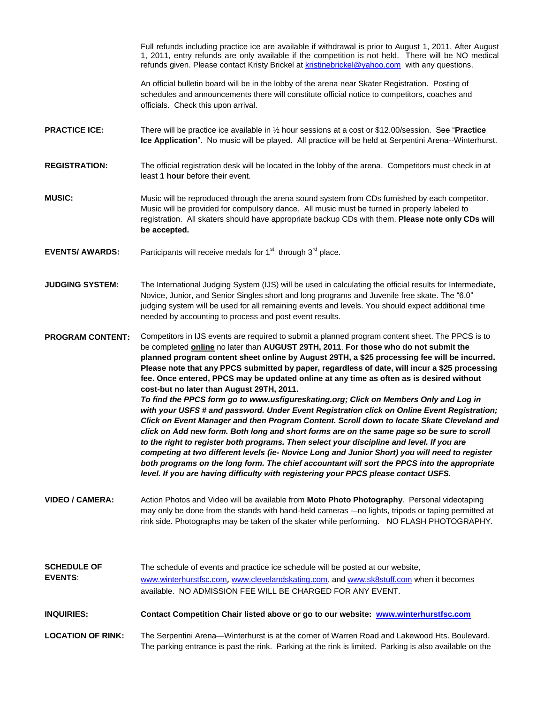Full refunds including practice ice are available if withdrawal is prior to August 1, 2011. After August 1, 2011, entry refunds are only available if the competition is not held. There will be NO medical refunds given. Please contact Kristy Brickel a[t kristinebrickel@yahoo.com](mailto:kristinebrickel@yahoo.com) with any questions.

An official bulletin board will be in the lobby of the arena near Skater Registration. Posting of schedules and announcements there will constitute official notice to competitors, coaches and officials. Check this upon arrival.

- **PRACTICE ICE:** There will be practice ice available in  $\frac{1}{2}$  hour sessions at a cost or \$12.00/session. See "Practice **Ice Application**". No music will be played. All practice will be held at Serpentini Arena--Winterhurst.
- **REGISTRATION:** The official registration desk will be located in the lobby of the arena. Competitors must check in at least **1 hour** before their event.
- **MUSIC:** Music will be reproduced through the arena sound system from CDs furnished by each competitor. Music will be provided for compulsory dance. All music must be turned in properly labeled to registration. All skaters should have appropriate backup CDs with them. **Please note only CDs will be accepted.**
- **EVENTS/ AWARDS:** Participants will receive medals for  $1<sup>st</sup>$  through  $3<sup>rd</sup>$  place.
- **JUDGING SYSTEM:** The International Judging System (IJS) will be used in calculating the official results for Intermediate, Novice, Junior, and Senior Singles short and long programs and Juvenile free skate. The "6.0" judging system will be used for all remaining events and levels. You should expect additional time needed by accounting to process and post event results.

**PROGRAM CONTENT:** Competitors in IJS events are required to submit a planned program content sheet. The PPCS is to be completed **online** no later than **AUGUST 29TH, 2011**. **For those who do not submit the planned program content sheet online by August 29TH, a \$25 processing fee will be incurred. Please note that any PPCS submitted by paper, regardless of date, will incur a \$25 processing fee. Once entered, PPCS may be updated online at any time as often as is desired without cost-but no later than August 29TH, 2011.** *To find the PPCS form go to www.usfigureskating.org; Click on Members Only and Log in with your USFS # and password. Under Event Registration click on Online Event Registration; Click on Event Manager and then Program Content. Scroll down to locate Skate Cleveland and* 

*click on Add new form. Both long and short forms are on the same page so be sure to scroll to the right to register both programs. Then select your discipline and level. If you are competing at two different levels (ie- Novice Long and Junior Short) you will need to register both programs on the long form. The chief accountant will sort the PPCS into the appropriate level. If you are having difficulty with registering your PPCS please contact USFS.* 

- **VIDEO / CAMERA:** Action Photos and Video will be available from **Moto Photo Photography**. Personal videotaping may only be done from the stands with hand-held cameras --no lights, tripods or taping permitted at rink side. Photographs may be taken of the skater while performing. NO FLASH PHOTOGRAPHY.
- **SCHEDULE OF EVENTS**: The schedule of events and practice ice schedule will be posted at our website, [www.winterhurstfsc.com](http://www.winterhurstfsc.com/), [www.clevelandskating.com,](http://www.clevelandskating.com/) and [www.sk8stuff.com](http://www.sk8stuff.com/) when it becomes available. NO ADMISSION FEE WILL BE CHARGED FOR ANY EVENT.

**INQUIRIES: Contact Competition Chair listed above or go to our website: [www.winterhurstfsc.com](http://www.winterhurstfsc.com/)**

**LOCATION OF RINK:** The Serpentini Arena—Winterhurst is at the corner of Warren Road and Lakewood Hts. Boulevard. The parking entrance is past the rink. Parking at the rink is limited. Parking is also available on the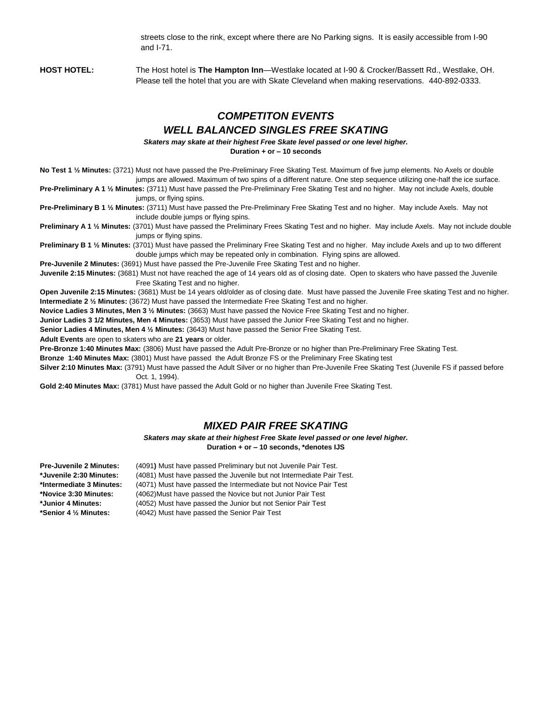streets close to the rink, except where there are No Parking signs. It is easily accessible from I-90 and I-71.

**HOST HOTEL:** The Host hotel is **The Hampton Inn**—Westlake located at I-90 & Crocker/Bassett Rd., Westlake, OH. Please tell the hotel that you are with Skate Cleveland when making reservations. 440-892-0333.

# *COMPETITON EVENTS WELL BALANCED SINGLES FREE SKATING*

*Skaters may skate at their highest Free Skate level passed or one level higher.*

**Duration + or – 10 seconds**

**No Test 1 ½ Minutes:** (3721) Must not have passed the Pre-Preliminary Free Skating Test. Maximum of five jump elements. No Axels or double jumps are allowed. Maximum of two spins of a different nature. One step sequence utilizing one-half the ice surface.

**Pre-Preliminary A 1 ½ Minutes:** (3711) Must have passed the Pre-Preliminary Free Skating Test and no higher. May not include Axels, double jumps, or flying spins.

**Pre-Preliminary B 1 ½ Minutes:** (3711) Must have passed the Pre-Preliminary Free Skating Test and no higher. May include Axels. May not include double jumps or flying spins.

**Preliminary A 1 ½ Minutes:** (3701) Must have passed the Preliminary Frees Skating Test and no higher. May include Axels. May not include double jumps or flying spins.

**Preliminary B 1 ½ Minutes:** (3701) Must have passed the Preliminary Free Skating Test and no higher. May include Axels and up to two different double jumps which may be repeated only in combination. Flying spins are allowed.

**Pre-Juvenile 2 Minutes:** (3691) Must have passed the Pre-Juvenile Free Skating Test and no higher.

**Juvenile 2:15 Minutes:** (3681) Must not have reached the age of 14 years old as of closing date. Open to skaters who have passed the Juvenile Free Skating Test and no higher.

**Open Juvenile 2:15 Minutes:** (3681) Must be 14 years old/older as of closing date. Must have passed the Juvenile Free skating Test and no higher. **Intermediate 2 ½ Minutes:** (3672) Must have passed the Intermediate Free Skating Test and no higher.

**Novice Ladies 3 Minutes, Men 3 ½ Minutes:** (3663) Must have passed the Novice Free Skating Test and no higher.

**Junior Ladies 3 1/2 Minutes, Men 4 Minutes:** (3653) Must have passed the Junior Free Skating Test and no higher.

**Senior Ladies 4 Minutes, Men 4 ½ Minutes:** (3643) Must have passed the Senior Free Skating Test.

**Adult Events** are open to skaters who are **21 years** or older.

**Pre-Bronze 1:40 Minutes Max:** (3806) Must have passed the Adult Pre-Bronze or no higher than Pre-Preliminary Free Skating Test.

**Bronze 1:40 Minutes Max:** (3801) Must have passed the Adult Bronze FS or the Preliminary Free Skating test

**Silver 2:10 Minutes Max:** (3791) Must have passed the Adult Silver or no higher than Pre-Juvenile Free Skating Test (Juvenile FS if passed before Oct. 1, 1994).

**Gold 2:40 Minutes Max:** (3781) Must have passed the Adult Gold or no higher than Juvenile Free Skating Test.

#### *MIXED PAIR FREE SKATING*

*Skaters may skate at their highest Free Skate level passed or one level higher.* **Duration + or – 10 seconds, \*denotes IJS**

**Pre-Juvenile 2 Minutes:** (4091**)** Must have passed Preliminary but not Juvenile Pair Test.

**\*Juvenile 2:30 Minutes:** (4081) Must have passed the Juvenile but not Intermediate Pair Test.

**\*Intermediate 3 Minutes:** (4071) Must have passed the Intermediate but not Novice Pair Test

**\*Novice 3:30 Minutes:** (4062)Must have passed the Novice but not Junior Pair Test

**\*Junior 4 Minutes:** (4052) Must have passed the Junior but not Senior Pair Test

**\*Senior 4 ½ Minutes:** (4042) Must have passed the Senior Pair Test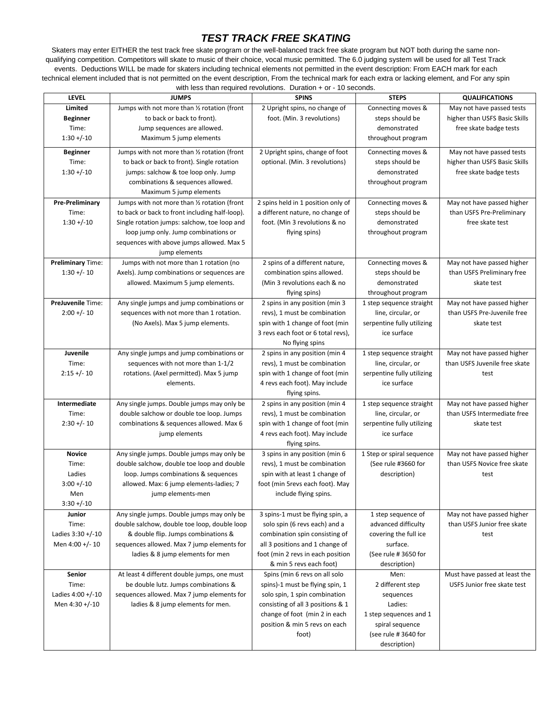## *TEST TRACK FREE SKATING*

Skaters may enter EITHER the test track free skate program or the well-balanced track free skate program but NOT both during the same nonqualifying competition. Competitors will skate to music of their choice, vocal music permitted. The 6.0 judging system will be used for all Test Track events. Deductions WILL be made for skaters including technical elements not permitted in the event description: From EACH mark for each technical element included that is not permitted on the event description, From the technical mark for each extra or lacking element, and For any spin with less than required revolutions. Duration + or - 10 seconds.

| <b>LEVEL</b>             | <b>JUMPS</b>                                                                           | <b>SPINS</b>                                                   | <b>STEPS</b>                                   | <b>QUALIFICATIONS</b>         |
|--------------------------|----------------------------------------------------------------------------------------|----------------------------------------------------------------|------------------------------------------------|-------------------------------|
| Limited                  | Jumps with not more than 1/2 rotation (front                                           | 2 Upright spins, no change of                                  | Connecting moves &                             | May not have passed tests     |
| <b>Beginner</b>          | to back or back to front).                                                             | foot. (Min. 3 revolutions)                                     | steps should be                                | higher than USFS Basic Skills |
| Time:                    | Jump sequences are allowed.                                                            |                                                                | demonstrated                                   | free skate badge tests        |
| $1:30 + (-10)$           | Maximum 5 jump elements                                                                |                                                                | throughout program                             |                               |
| <b>Beginner</b>          | Jumps with not more than 1/2 rotation (front                                           | 2 Upright spins, change of foot                                | Connecting moves &                             | May not have passed tests     |
| Time:                    | to back or back to front). Single rotation                                             | optional. (Min. 3 revolutions)                                 | steps should be                                | higher than USFS Basic Skills |
| $1:30 + (-10)$           | jumps: salchow & toe loop only. Jump                                                   |                                                                | demonstrated                                   | free skate badge tests        |
|                          | combinations & sequences allowed.                                                      |                                                                | throughout program                             |                               |
|                          | Maximum 5 jump elements                                                                |                                                                |                                                |                               |
| <b>Pre-Preliminary</b>   | Jumps with not more than 1/2 rotation (front                                           | 2 spins held in 1 position only of                             | Connecting moves &                             | May not have passed higher    |
| Time:                    | to back or back to front including half-loop).                                         | a different nature, no change of                               | steps should be                                | than USFS Pre-Preliminary     |
| $1:30 + (-10)$           | Single rotation jumps: salchow, toe loop and                                           | foot. (Min 3 revolutions & no                                  | demonstrated                                   | free skate test               |
|                          | loop jump only. Jump combinations or                                                   | flying spins)                                                  | throughout program                             |                               |
|                          | sequences with above jumps allowed. Max 5                                              |                                                                |                                                |                               |
|                          | jump elements                                                                          |                                                                |                                                |                               |
| <b>Preliminary Time:</b> | Jumps with not more than 1 rotation (no                                                | 2 spins of a different nature,                                 | Connecting moves &                             | May not have passed higher    |
| $1:30 +/- 10$            | Axels). Jump combinations or sequences are                                             | combination spins allowed.                                     | steps should be                                | than USFS Preliminary free    |
|                          | allowed. Maximum 5 jump elements.                                                      | (Min 3 revolutions each & no                                   | demonstrated                                   | skate test                    |
|                          |                                                                                        | flying spins)                                                  | throughout program                             |                               |
| <b>PreJuvenile Time:</b> | Any single jumps and jump combinations or                                              | 2 spins in any position (min 3                                 | 1 step sequence straight                       | May not have passed higher    |
| $2:00 +/- 10$            | sequences with not more than 1 rotation.                                               | revs), 1 must be combination                                   | line, circular, or                             | than USFS Pre-Juvenile free   |
|                          | (No Axels). Max 5 jump elements.                                                       | spin with 1 change of foot (min                                | serpentine fully utilizing                     | skate test                    |
|                          |                                                                                        | 3 revs each foot or 6 total revs),                             | ice surface                                    |                               |
|                          |                                                                                        | No flying spins                                                |                                                |                               |
| Juvenile                 | Any single jumps and jump combinations or                                              | 2 spins in any position (min 4                                 | 1 step sequence straight                       | May not have passed higher    |
| Time:                    | sequences with not more than 1-1/2                                                     | revs), 1 must be combination                                   | line, circular, or                             | than USFS Juvenile free skate |
| $2:15 +/- 10$            | rotations. (Axel permitted). Max 5 jump                                                | spin with 1 change of foot (min                                | serpentine fully utilizing                     | test                          |
|                          | elements.                                                                              | 4 revs each foot). May include                                 | ice surface                                    |                               |
| Intermediate             |                                                                                        | flying spins.                                                  |                                                | May not have passed higher    |
| Time:                    | Any single jumps. Double jumps may only be<br>double salchow or double toe loop. Jumps | 2 spins in any position (min 4<br>revs), 1 must be combination | 1 step sequence straight<br>line, circular, or | than USFS Intermediate free   |
| $2:30 +/- 10$            | combinations & sequences allowed. Max 6                                                | spin with 1 change of foot (min                                | serpentine fully utilizing                     | skate test                    |
|                          | jump elements                                                                          | 4 revs each foot). May include                                 | ice surface                                    |                               |
|                          |                                                                                        | flying spins.                                                  |                                                |                               |
| <b>Novice</b>            | Any single jumps. Double jumps may only be                                             | 3 spins in any position (min 6                                 | 1 Step or spiral sequence                      | May not have passed higher    |
| Time:                    | double salchow, double toe loop and double                                             | revs), 1 must be combination                                   | (See rule #3660 for                            | than USFS Novice free skate   |
| Ladies                   | loop. Jumps combinations & sequences                                                   | spin with at least 1 change of                                 | description)                                   | test                          |
| $3:00 + (-10)$           | allowed. Max: 6 jump elements-ladies; 7                                                | foot (min 5revs each foot). May                                |                                                |                               |
| Men                      | jump elements-men                                                                      | include flying spins.                                          |                                                |                               |
| $3:30 + (-10)$           |                                                                                        |                                                                |                                                |                               |
| Junior                   | Any single jumps. Double jumps may only be                                             | 3 spins-1 must be flying spin, a                               | 1 step sequence of                             | May not have passed higher    |
| Time:                    | double salchow, double toe loop, double loop                                           | solo spin (6 revs each) and a                                  | advanced difficulty                            | than USFS Junior free skate   |
| Ladies 3:30 +/-10        | & double flip. Jumps combinations &                                                    | combination spin consisting of                                 | covering the full ice                          | test                          |
| Men 4:00 +/- 10          | sequences allowed. Max 7 jump elements for                                             | all 3 positions and 1 change of                                | surface.                                       |                               |
|                          | ladies & 8 jump elements for men                                                       | foot (min 2 revs in each position                              | (See rule #3650 for                            |                               |
|                          |                                                                                        | & min 5 revs each foot)                                        | description)                                   |                               |
| Senior                   | At least 4 different double jumps, one must                                            | Spins (min 6 revs on all solo                                  | Men:                                           | Must have passed at least the |
| Time:                    | be double lutz. Jumps combinations &                                                   | spins)-1 must be flying spin, 1                                | 2 different step                               | USFS Junior free skate test   |
| Ladies 4:00 +/-10        | sequences allowed. Max 7 jump elements for                                             | solo spin, 1 spin combination                                  | sequences                                      |                               |
| Men 4:30 +/-10           | ladies & 8 jump elements for men.                                                      | consisting of all 3 positions & 1                              | Ladies:                                        |                               |
|                          |                                                                                        | change of foot (min 2 in each                                  | 1 step sequences and 1                         |                               |
|                          |                                                                                        | position & min 5 revs on each                                  | spiral sequence                                |                               |
|                          |                                                                                        | foot)                                                          | (see rule #3640 for                            |                               |
|                          |                                                                                        |                                                                | description)                                   |                               |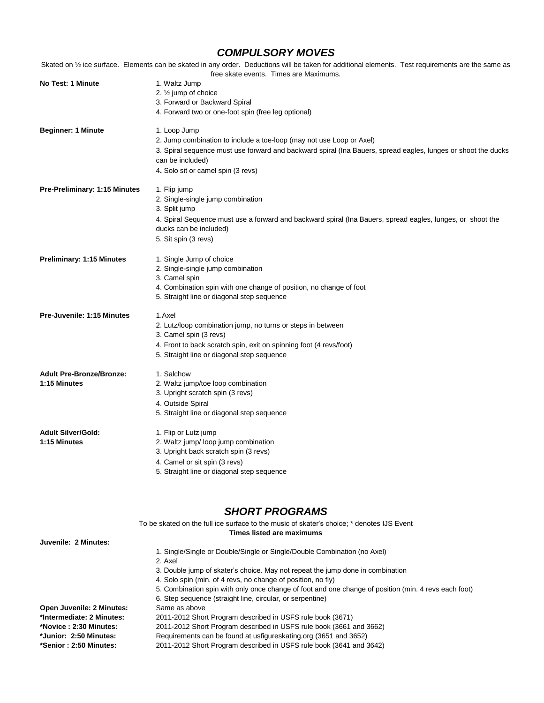### *COMPULSORY MOVES*

Skated on 1/2 ice surface. Elements can be skated in any order. Deductions will be taken for additional elements. Test requirements are the same as free skate events. Times are Maximums.

|                                  | The estate events. Thries are ividaminaris.                                                                                          |
|----------------------------------|--------------------------------------------------------------------------------------------------------------------------------------|
| No Test: 1 Minute                | 1. Waltz Jump                                                                                                                        |
|                                  | 2. $\frac{1}{2}$ jump of choice                                                                                                      |
|                                  | 3. Forward or Backward Spiral                                                                                                        |
|                                  | 4. Forward two or one-foot spin (free leg optional)                                                                                  |
| <b>Beginner: 1 Minute</b>        | 1. Loop Jump                                                                                                                         |
|                                  | 2. Jump combination to include a toe-loop (may not use Loop or Axel)                                                                 |
|                                  | 3. Spiral sequence must use forward and backward spiral (Ina Bauers, spread eagles, lunges or shoot the ducks                        |
|                                  | can be included)                                                                                                                     |
|                                  | 4. Solo sit or camel spin (3 revs)                                                                                                   |
| Pre-Preliminary: 1:15 Minutes    | 1. Flip jump                                                                                                                         |
|                                  | 2. Single-single jump combination                                                                                                    |
|                                  | 3. Split jump                                                                                                                        |
|                                  | 4. Spiral Sequence must use a forward and backward spiral (Ina Bauers, spread eagles, lunges, or shoot the<br>ducks can be included) |
|                                  | 5. Sit spin (3 revs)                                                                                                                 |
| <b>Preliminary: 1:15 Minutes</b> | 1. Single Jump of choice                                                                                                             |
|                                  | 2. Single-single jump combination                                                                                                    |
|                                  | 3. Camel spin                                                                                                                        |
|                                  | 4. Combination spin with one change of position, no change of foot                                                                   |
|                                  | 5. Straight line or diagonal step sequence                                                                                           |
| Pre-Juvenile: 1:15 Minutes       | 1.Axel                                                                                                                               |
|                                  | 2. Lutz/loop combination jump, no turns or steps in between                                                                          |
|                                  | 3. Camel spin (3 revs)                                                                                                               |
|                                  | 4. Front to back scratch spin, exit on spinning foot (4 revs/foot)                                                                   |
|                                  | 5. Straight line or diagonal step sequence                                                                                           |
| <b>Adult Pre-Bronze/Bronze:</b>  | 1. Salchow                                                                                                                           |
| 1:15 Minutes                     | 2. Waltz jump/toe loop combination                                                                                                   |
|                                  | 3. Upright scratch spin (3 revs)                                                                                                     |
|                                  | 4. Outside Spiral                                                                                                                    |
|                                  | 5. Straight line or diagonal step sequence                                                                                           |
| <b>Adult Silver/Gold:</b>        | 1. Flip or Lutz jump                                                                                                                 |
| 1:15 Minutes                     | 2. Waltz jump/ loop jump combination                                                                                                 |
|                                  | 3. Upright back scratch spin (3 revs)                                                                                                |
|                                  | 4. Camel or sit spin (3 revs)                                                                                                        |
|                                  | 5. Straight line or diagonal step sequence                                                                                           |
|                                  |                                                                                                                                      |

### *SHORT PROGRAMS*

|                           | To be skated on the full ice surface to the music of skater's choice; * denotes IJS Event            |
|---------------------------|------------------------------------------------------------------------------------------------------|
|                           | Times listed are maximums                                                                            |
| Juvenile: 2 Minutes:      |                                                                                                      |
|                           | 1. Single/Single or Double/Single or Single/Double Combination (no Axel)                             |
|                           | 2. Axel                                                                                              |
|                           | 3. Double jump of skater's choice. May not repeat the jump done in combination                       |
|                           | 4. Solo spin (min. of 4 revs, no change of position, no fly)                                         |
|                           | 5. Combination spin with only once change of foot and one change of position (min. 4 revs each foot) |
|                           | 6. Step sequence (straight line, circular, or serpentine)                                            |
| Open Juvenile: 2 Minutes: | Same as above                                                                                        |
| *Intermediate: 2 Minutes: | 2011-2012 Short Program described in USFS rule book (3671)                                           |
| *Novice: 2:30 Minutes:    | 2011-2012 Short Program described in USFS rule book (3661 and 3662)                                  |
| *Junior: 2:50 Minutes:    | Requirements can be found at usfigureskating.org (3651 and 3652)                                     |
| *Senior: 2:50 Minutes:    | 2011-2012 Short Program described in USFS rule book (3641 and 3642)                                  |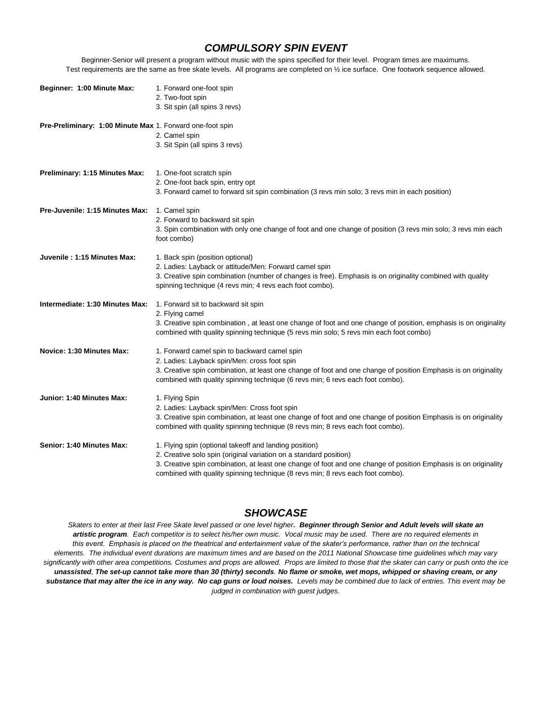#### *COMPULSORY SPIN EVENT*

Beginner-Senior will present a program without music with the spins specified for their level. Program times are maximums. Test requirements are the same as free skate levels. All programs are completed on ½ ice surface. One footwork sequence allowed.

| Beginner: 1:00 Minute Max:                                | 1. Forward one-foot spin<br>2. Two-foot spin<br>3. Sit spin (all spins 3 revs)                                                                                                                                                                                                                                                   |
|-----------------------------------------------------------|----------------------------------------------------------------------------------------------------------------------------------------------------------------------------------------------------------------------------------------------------------------------------------------------------------------------------------|
| Pre-Preliminary: 1:00 Minute Max 1. Forward one-foot spin | 2. Camel spin<br>3. Sit Spin (all spins 3 revs)                                                                                                                                                                                                                                                                                  |
| Preliminary: 1:15 Minutes Max:                            | 1. One-foot scratch spin<br>2. One-foot back spin, entry opt<br>3. Forward camel to forward sit spin combination (3 revs min solo; 3 revs min in each position)                                                                                                                                                                  |
| Pre-Juvenile: 1:15 Minutes Max:                           | 1. Camel spin<br>2. Forward to backward sit spin<br>3. Spin combination with only one change of foot and one change of position (3 revs min solo; 3 revs min each<br>foot combo)                                                                                                                                                 |
| Juvenile: 1:15 Minutes Max:                               | 1. Back spin (position optional)<br>2. Ladies: Layback or attitude/Men: Forward camel spin<br>3. Creative spin combination (number of changes is free). Emphasis is on originality combined with quality<br>spinning technique (4 revs min; 4 revs each foot combo).                                                             |
| Intermediate: 1:30 Minutes Max:                           | 1. Forward sit to backward sit spin<br>2. Flying camel<br>3. Creative spin combination, at least one change of foot and one change of position, emphasis is on originality<br>combined with quality spinning technique (5 revs min solo; 5 revs min each foot combo)                                                             |
| Novice: 1:30 Minutes Max:                                 | 1. Forward camel spin to backward camel spin<br>2. Ladies: Layback spin/Men: cross foot spin<br>3. Creative spin combination, at least one change of foot and one change of position Emphasis is on originality<br>combined with quality spinning technique (6 revs min; 6 revs each foot combo).                                |
| Junior: 1:40 Minutes Max:                                 | 1. Flying Spin<br>2. Ladies: Layback spin/Men: Cross foot spin<br>3. Creative spin combination, at least one change of foot and one change of position Emphasis is on originality<br>combined with quality spinning technique (8 revs min; 8 revs each foot combo).                                                              |
| Senior: 1:40 Minutes Max:                                 | 1. Flying spin (optional takeoff and landing position)<br>2. Creative solo spin (original variation on a standard position)<br>3. Creative spin combination, at least one change of foot and one change of position Emphasis is on originality<br>combined with quality spinning technique (8 revs min; 8 revs each foot combo). |

#### *SHOWCASE*

*Skaters to enter at their last Free Skate level passed or one level higher. Beginner through Senior and Adult levels will skate an artistic program. Each competitor is to select his/her own music. Vocal music may be used. There are no required elements in this event. Emphasis is placed on the theatrical and entertainment value of the skater's performance, rather than on the technical elements. The individual event durations are maximum times and are based on the 2011 National Showcase time guidelines which may vary significantly with other area competitions. Costumes and props are allowed. Props are limited to those that the skater can carry or push onto the ice unassisted, The set-up cannot take more than 30 (thirty) seconds. No flame or smoke, wet mops, whipped or shaving cream, or any*  substance that may alter the ice in any way. No cap guns or loud noises. Levels may be combined due to lack of entries. This event may be *judged in combination with guest judges.*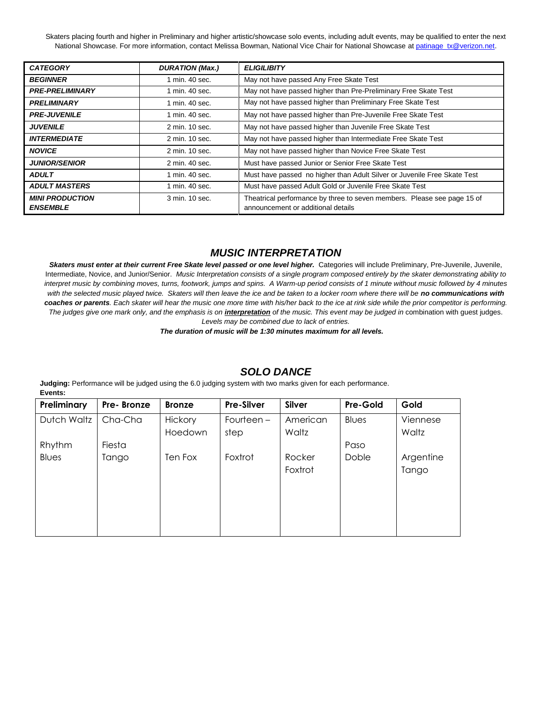Skaters placing fourth and higher in Preliminary and higher artistic/showcase solo events, including adult events, may be qualified to enter the next National Showcase. For more information, contact Melissa Bowman, National Vice Chair for National Showcase a[t patinage\\_tx@verizon.net.](mailto:patinage_tx@verizon.net)

| <b>CATEGORY</b>                           | <b>DURATION (Max.)</b> | <b>ELIGILIBITY</b>                                                                                            |  |
|-------------------------------------------|------------------------|---------------------------------------------------------------------------------------------------------------|--|
| <b>BEGINNER</b>                           | 1 min. 40 sec.         | May not have passed Any Free Skate Test                                                                       |  |
| <b>PRE-PRELIMINARY</b>                    | 1 min. 40 sec.         | May not have passed higher than Pre-Preliminary Free Skate Test                                               |  |
| <b>PRELIMINARY</b>                        | 1 min. 40 sec.         | May not have passed higher than Preliminary Free Skate Test                                                   |  |
| <b>PRE-JUVENILE</b>                       | 1 min. 40 sec.         | May not have passed higher than Pre-Juvenile Free Skate Test                                                  |  |
| <b>JUVENILE</b>                           | 2 min. 10 sec.         | May not have passed higher than Juvenile Free Skate Test                                                      |  |
| <b>INTERMEDIATE</b>                       | 2 min. 10 sec.         | May not have passed higher than Intermediate Free Skate Test                                                  |  |
| <b>NOVICE</b>                             | 2 min. 10 sec.         | May not have passed higher than Novice Free Skate Test                                                        |  |
| <b>JUNIOR/SENIOR</b>                      | 2 min. 40 sec.         | Must have passed Junior or Senior Free Skate Test                                                             |  |
| <b>ADULT</b>                              | 1 min. 40 sec.         | Must have passed no higher than Adult Silver or Juvenile Free Skate Test                                      |  |
| <b>ADULT MASTERS</b>                      | 1 min. 40 sec.         | Must have passed Adult Gold or Juvenile Free Skate Test                                                       |  |
| <b>MINI PRODUCTION</b><br><b>ENSEMBLE</b> | 3 min. 10 sec.         | Theatrical performance by three to seven members. Please see page 15 of<br>announcement or additional details |  |

#### *MUSIC INTERPRETATION*

**Skaters must enter at their current Free Skate level passed or one level higher.** Categories will include Preliminary, Pre-Juvenile, Juvenile, Intermediate, Novice, and Junior/Senior. *Music Interpretation consists of a single program composed entirely by the skater demonstrating ability to interpret music by combining moves, turns, footwork, jumps and spins. A Warm-up period consists of 1 minute without music followed by 4 minutes*  with the selected music played twice. Skaters will then leave the ice and be taken to a locker room where there will be no communications with *coaches or parents. Each skater will hear the music one more time with his/her back to the ice at rink side while the prior competitor is performing. The judges give one mark only, and the emphasis is on interpretation of the music. This event may be judged in* combination with guest judges. *Levels may be combined due to lack of entries.*

*The duration of music will be 1:30 minutes maximum for all levels.*

#### **Preliminary Pre- Bronze Bronze Pre-Silver Silver Pre-Gold Gold** Dutch Waltz Rhythm Blues Cha-Cha Fiesta Tango **Hickory** Hoedown Ten Fox Fourteen – step Foxtrot American Waltz Rocker Foxtrot Blues Paso Doble Viennese Waltz Argentine Tango

#### *SOLO DANCE*

**Judging:** Performance will be judged using the 6.0 judging system with two marks given for each performance. **Events:**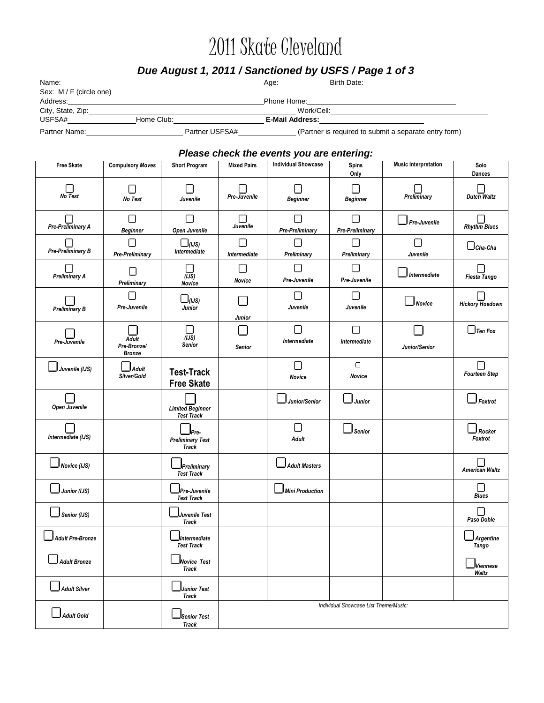# 2011 Skate Cleveland

# *Due August 1, 2011 / Sanctioned by USFS / Page 1 of 3*

| Name:                   |                | Birth Date:<br>Age:                                   |  |
|-------------------------|----------------|-------------------------------------------------------|--|
| Sex: M / F (circle one) |                |                                                       |  |
| Address:                |                | Phone Home:                                           |  |
| City, State, Zip:       |                | Work/Cell:                                            |  |
| USFSA#                  | Home Club:     | <b>E-Mail Address:</b>                                |  |
| Partner Name:           | Partner USFSA# | (Partner is required to submit a separate entry form) |  |

#### *Please check the events you are entering:*

| Free Skate              | <b>Compulsory Moves</b>                            | <b>Short Program</b>                            | <b>Mixed Pairs</b> | <b>Individual Showcase</b> | <b>Spins</b>                          | <b>Music Interpretation</b> | Solo                            |
|-------------------------|----------------------------------------------------|-------------------------------------------------|--------------------|----------------------------|---------------------------------------|-----------------------------|---------------------------------|
| Ш<br>No Test            | Ш<br>No Test                                       | ш<br>Juvenile                                   | Pre-Juvenile       | <b>Beginner</b>            | Only<br>П<br><b>Beginner</b>          | Preliminary                 | Dances<br>Dutch Waltz           |
| Pre-Preliminary A       | ш<br><b>Beginner</b>                               | $\Box$<br>Open Juvenile                         | Juvenile           | Pre-Preliminary            | П<br><b>Pre-Preliminary</b>           | ] Pre-Juvenile              | <b>Rhythm Blues</b>             |
| Pre-Preliminary B       | $\overline{\phantom{0}}$<br><b>Pre-Preliminary</b> | $\square$ (IJS)<br>Intermediate                 | П<br>Intermediate  | П<br>Preliminary           | П<br>Preliminary                      | О<br>Juvenile               | $\Box$ Cha-Cha                  |
| Preliminary A           | П<br>Preliminary                                   | ш<br>$(\overline{JS})$<br>Novice                | Novice             | Pre-Juvenile               | П<br>Pre-Juvenile                     | Intermediate                | Fiesta Tango                    |
| <b>Preliminary B</b>    | П<br>Pre-Juvenile                                  | $\square$ (IJS)<br>Junior                       | Junior             | Juvenile                   | П<br>Juvenile                         | <b>Novice</b>               | Hickory Hoedown                 |
|                         |                                                    | П                                               |                    | П                          | О                                     |                             | $\Box$ Ten Fox                  |
| Pre-Juvenile            | <b>Adult</b><br>Pre-Bronze/<br><b>Bronze</b>       | $(\overline{JS})$<br>Senior                     | Senior             | Intermediate               | Intermediate                          | Junior/Senior               |                                 |
| Juvenile (IJS)          | <b>Adult</b><br>Silver/Gold                        | <b>Test-Track</b><br><b>Free Skate</b>          |                    | П<br>Novice                | $\Box$<br>Novice                      |                             | Fourteen Step                   |
| Open Juvenile           |                                                    | <b>Limited Beginner</b><br><b>Test Track</b>    |                    | Junior/Senior              | <b>Junior</b>                         |                             | $\mathsf{I}_{\mathit{Foxtrot}}$ |
| Intermediate (IJS)      |                                                    | Pre-<br><b>Preliminary Test</b><br><b>Track</b> |                    | П<br><b>Adult</b>          | Senior                                |                             | J Rocker<br>Foxtrot             |
| Novice (IJS)            |                                                    | Preliminary<br><b>Test Track</b>                |                    | <b>Adult Masters</b>       |                                       |                             | American Waltz                  |
| Junior (IJS)            |                                                    | Pre-Juvenile<br><b>Test Track</b>               |                    | Mini Production            |                                       |                             | ⋃<br><b>Blues</b>               |
| Senior (IJS)            |                                                    | Juvenile Test<br><b>Track</b>                   |                    |                            |                                       |                             | О<br>Paso Doble                 |
| <b>Adult Pre-Bronze</b> |                                                    | Mntermediate<br><b>Test Track</b>               |                    |                            |                                       |                             | Argentine<br><b>Tango</b>       |
| o.<br>Adult Bronze      |                                                    | 冖<br>Novice Test_<br>Track                      |                    |                            |                                       |                             | JViennese<br>Waltz              |
| Adult Silver            |                                                    | <b>Junior Test</b><br>Track                     |                    |                            |                                       |                             |                                 |
| $\Box$ Adult Gold       |                                                    | JSenior Test<br>Track                           |                    |                            | Individual Showcase List Theme/Music: |                             |                                 |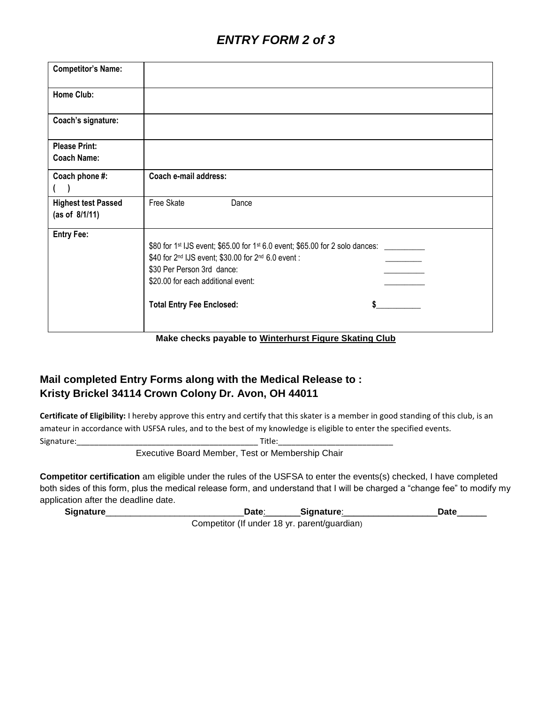| <b>Competitor's Name:</b>  |                                                                                                                                                                                                                                                                             |
|----------------------------|-----------------------------------------------------------------------------------------------------------------------------------------------------------------------------------------------------------------------------------------------------------------------------|
| <b>Home Club:</b>          |                                                                                                                                                                                                                                                                             |
| Coach's signature:         |                                                                                                                                                                                                                                                                             |
| <b>Please Print:</b>       |                                                                                                                                                                                                                                                                             |
| <b>Coach Name:</b>         |                                                                                                                                                                                                                                                                             |
| Coach phone #:             | Coach e-mail address:                                                                                                                                                                                                                                                       |
|                            |                                                                                                                                                                                                                                                                             |
| <b>Highest test Passed</b> | Free Skate<br>Dance                                                                                                                                                                                                                                                         |
| (as of $8/1/11$ )          |                                                                                                                                                                                                                                                                             |
| <b>Entry Fee:</b>          | \$80 for 1 <sup>st</sup> IJS event; \$65.00 for 1 <sup>st</sup> 6.0 event; \$65.00 for 2 solo dances: ______<br>\$40 for 2nd IJS event; \$30.00 for 2nd 6.0 event :<br>\$30 Per Person 3rd dance:<br>\$20.00 for each additional event:<br><b>Total Entry Fee Enclosed:</b> |

**Make checks payable to Winterhurst Figure Skating Club**

## **Mail completed Entry Forms along with the Medical Release to : Kristy Brickel 34114 Crown Colony Dr. Avon, OH 44011**

**Certificate of Eligibility:** I hereby approve this entry and certify that this skater is a member in good standing of this club, is an amateur in accordance with USFSA rules, and to the best of my knowledge is eligible to enter the specified events. Signature: Title:

Executive Board Member, Test or Membership Chair

**Competitor certification** am eligible under the rules of the USFSA to enter the events(s) checked, I have completed both sides of this form, plus the medical release form, and understand that I will be charged a "change fee" to modify my application after the deadline date.

**Signature**\_\_\_\_\_\_\_\_\_\_\_\_\_\_\_\_\_\_\_\_\_\_\_\_\_\_\_\_**Date**:\_\_\_\_\_\_\_**Signature**:\_\_\_\_\_\_\_\_\_\_\_\_\_\_\_\_\_\_\_**Date**\_\_\_\_\_\_

Competitor (If under 18 yr. parent/guardian)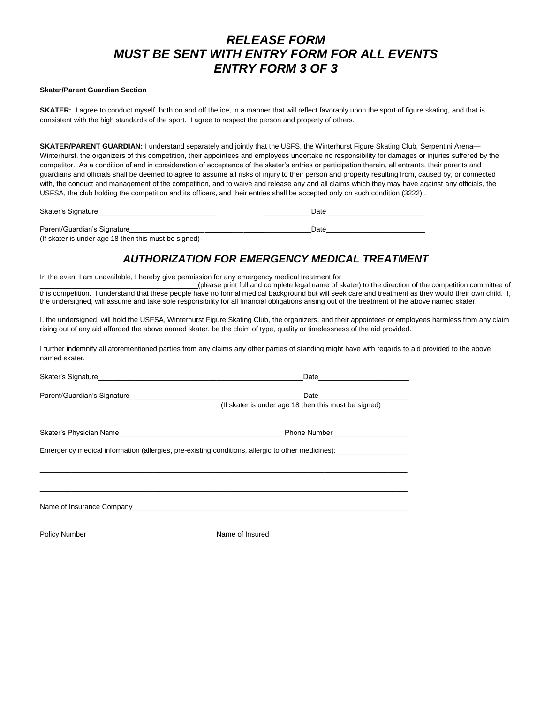# *RELEASE FORM MUST BE SENT WITH ENTRY FORM FOR ALL EVENTS ENTRY FORM 3 OF 3*

#### **Skater/Parent Guardian Section**

**SKATER:** I agree to conduct myself, both on and off the ice, in a manner that will reflect favorably upon the sport of figure skating, and that is consistent with the high standards of the sport. I agree to respect the person and property of others.

**SKATER/PARENT GUARDIAN:** I understand separately and jointly that the USFS, the Winterhurst Figure Skating Club, Serpentini Arena— Winterhurst, the organizers of this competition, their appointees and employees undertake no responsibility for damages or injuries suffered by the competitor. As a condition of and in consideration of acceptance of the skater's entries or participation therein, all entrants, their parents and guardians and officials shall be deemed to agree to assume all risks of injury to their person and property resulting from, caused by, or connected with, the conduct and management of the competition, and to waive and release any and all claims which they may have against any officials, the USFSA, the club holding the competition and its officers, and their entries shall be accepted only on such condition (3222) .

| Skater's Signature          | Date |
|-----------------------------|------|
|                             |      |
| Parent/Guardian's Signature | Date |

(If skater is under age 18 then this must be signed)

### *AUTHORIZATION FOR EMERGENCY MEDICAL TREATMENT*

In the event I am unavailable, I hereby give permission for any emergency medical treatment for

\_\_\_\_\_\_\_\_\_\_\_\_\_\_\_\_\_\_\_\_\_\_\_\_\_\_\_\_\_\_\_\_\_\_\_\_\_\_\_\_(please print full and complete legal name of skater) to the direction of the competition committee of this competition. I understand that these people have no formal medical background but will seek care and treatment as they would their own child. I, the undersigned, will assume and take sole responsibility for all financial obligations arising out of the treatment of the above named skater.

I, the undersigned, will hold the USFSA, Winterhurst Figure Skating Club, the organizers, and their appointees or employees harmless from any claim rising out of any aid afforded the above named skater, be the claim of type, quality or timelessness of the aid provided.

I further indemnify all aforementioned parties from any claims any other parties of standing might have with regards to aid provided to the above named skater*.*

|                                                                                                                                                                                                                                | Date                                                                                                                                                                                                                                                                                   |  |  |  |  |
|--------------------------------------------------------------------------------------------------------------------------------------------------------------------------------------------------------------------------------|----------------------------------------------------------------------------------------------------------------------------------------------------------------------------------------------------------------------------------------------------------------------------------------|--|--|--|--|
|                                                                                                                                                                                                                                | Date and the contract of the contract of the contract of the contract of the contract of the contract of the contract of the contract of the contract of the contract of the contract of the contract of the contract of the c<br>(If skater is under age 18 then this must be signed) |  |  |  |  |
|                                                                                                                                                                                                                                |                                                                                                                                                                                                                                                                                        |  |  |  |  |
|                                                                                                                                                                                                                                | Emergency medical information (allergies, pre-existing conditions, allergic to other medicines):                                                                                                                                                                                       |  |  |  |  |
|                                                                                                                                                                                                                                |                                                                                                                                                                                                                                                                                        |  |  |  |  |
|                                                                                                                                                                                                                                |                                                                                                                                                                                                                                                                                        |  |  |  |  |
| Name of Insurance Company experience of the contract of the contract of the contract of the contract of the contract of the contract of the contract of the contract of the contract of the contract of the contract of the co |                                                                                                                                                                                                                                                                                        |  |  |  |  |
| Policy Number <b>Name of Insured</b>                                                                                                                                                                                           |                                                                                                                                                                                                                                                                                        |  |  |  |  |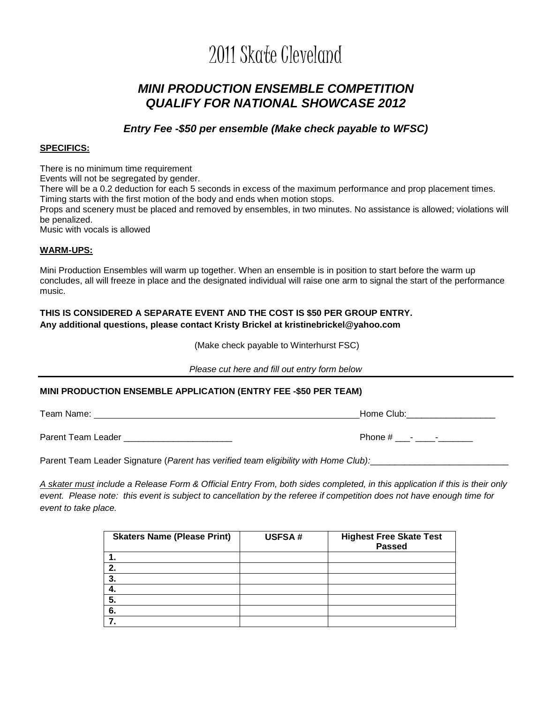# 2011 Skate Cleveland

# *MINI PRODUCTION ENSEMBLE COMPETITION QUALIFY FOR NATIONAL SHOWCASE 2012*

*Entry Fee -\$50 per ensemble (Make check payable to WFSC)*

#### **SPECIFICS:**

There is no minimum time requirement

Events will not be segregated by gender.

There will be a 0.2 deduction for each 5 seconds in excess of the maximum performance and prop placement times. Timing starts with the first motion of the body and ends when motion stops.

Props and scenery must be placed and removed by ensembles, in two minutes. No assistance is allowed; violations will be penalized.

Music with vocals is allowed

#### **WARM-UPS:**

Mini Production Ensembles will warm up together. When an ensemble is in position to start before the warm up concludes, all will freeze in place and the designated individual will raise one arm to signal the start of the performance music.

#### **THIS IS CONSIDERED A SEPARATE EVENT AND THE COST IS \$50 PER GROUP ENTRY. Any additional questions, please contact Kristy Brickel at kristinebrickel@yahoo.com**

(Make check payable to Winterhurst FSC)

*Please cut here and fill out entry form below*

#### **MINI PRODUCTION ENSEMBLE APPLICATION (ENTRY FEE -\$50 PER TEAM)**

Team Name: **Home Club:** Name: 1990 1991 1992 1994 1994 1994 1994 1994 1995 1996 1997 1998 1999 1999 1999 1999 1

Parent Team Leader \_\_\_\_\_\_\_\_\_\_\_\_\_\_\_\_\_\_\_\_\_\_ Phone # \_\_\_- \_\_\_\_-\_\_\_\_\_\_\_

Parent Team Leader Signature (*Parent has verified team eligibility with Home Club*):

*A skater must include a Release Form & Official Entry From, both sides completed, in this application if this is their only event. Please note: this event is subject to cancellation by the referee if competition does not have enough time for event to take place.*

| <b>Skaters Name (Please Print)</b> | <b>USFSA#</b> | <b>Highest Free Skate Test</b><br><b>Passed</b> |
|------------------------------------|---------------|-------------------------------------------------|
|                                    |               |                                                 |
| 2.                                 |               |                                                 |
| 3.                                 |               |                                                 |
| 4.                                 |               |                                                 |
| 5.                                 |               |                                                 |
| 6.                                 |               |                                                 |
|                                    |               |                                                 |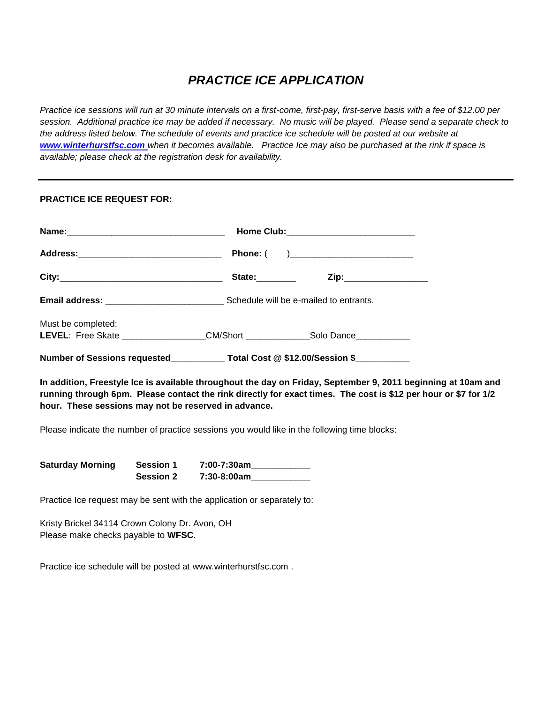# *PRACTICE ICE APPLICATION*

*Practice ice sessions will run at 30 minute intervals on a first-come, first-pay, first-serve basis with a fee of \$12.00 per session. Additional practice ice may be added if necessary. No music will be played. Please send a separate check to the address listed below. The schedule of events and practice ice schedule will be posted at our website at [www.winterhurstfsc.com](http://www.winterhurstfsc.com/) when it becomes available. Practice Ice may also be purchased at the rink if space is available; please check at the registration desk for availability.*

#### **PRACTICE ICE REQUEST FOR:**

| Address:__________________________________                                                             |                |                                 |  |
|--------------------------------------------------------------------------------------------------------|----------------|---------------------------------|--|
|                                                                                                        | State:________ |                                 |  |
|                                                                                                        |                |                                 |  |
| Must be completed:<br>LEVEL: Free Skate ___________________CM/Short ______________Solo Dance__________ |                |                                 |  |
| Number of Sessions requested___________                                                                |                | Total Cost @ \$12.00/Session \$ |  |

**In addition, Freestyle Ice is available throughout the day on Friday, September 9, 2011 beginning at 10am and running through 6pm. Please contact the rink directly for exact times. The cost is \$12 per hour or \$7 for 1/2 hour. These sessions may not be reserved in advance.** 

Please indicate the number of practice sessions you would like in the following time blocks:

| <b>Saturday Morning</b> | <b>Session 1</b> | 7:00-7:30am |
|-------------------------|------------------|-------------|
|                         | <b>Session 2</b> | 7:30-8:00am |

Practice Ice request may be sent with the application or separately to:

Kristy Brickel 34114 Crown Colony Dr. Avon, OH Please make checks payable to **WFSC**.

Practice ice schedule will be posted at www.winterhurstfsc.com .